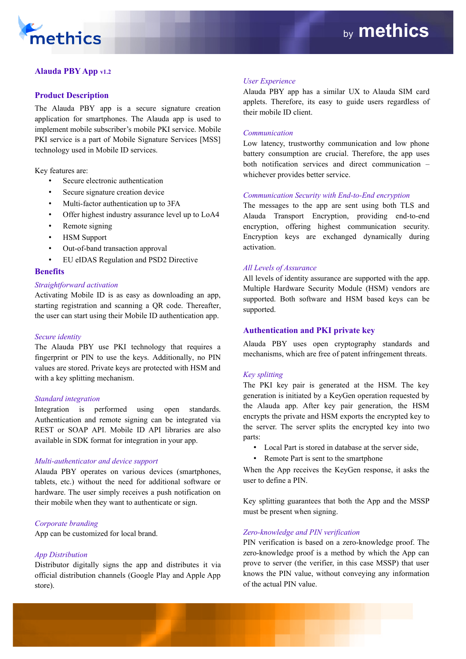

# **Alauda PBY App v1.2**

## **Product Description**

The Alauda PBY app is a secure signature creation application for smartphones. The Alauda app is used to implement mobile subscriber's mobile PKI service. Mobile PKI service is a part of Mobile Signature Services [MSS] technology used in Mobile ID services.

Key features are:

- Secure electronic authentication
- Secure signature creation device
- Multi-factor authentication up to 3FA
- Offer highest industry assurance level up to LoA4
- Remote signing
- **HSM Support**
- Out-of-band transaction approval
- EU eIDAS Regulation and PSD2 Directive

#### **Benefits**

#### *Straightforward activation*

Activating Mobile ID is as easy as downloading an app, starting registration and scanning a QR code. Thereafter, the user can start using their Mobile ID authentication app.

### *Secure identity*

The Alauda PBY use PKI technology that requires a fingerprint or PIN to use the keys. Additionally, no PIN values are stored. Private keys are protected with HSM and with a key splitting mechanism.

### *Standard integration*

Integration is performed using open standards. Authentication and remote signing can be integrated via REST or SOAP API. Mobile ID API libraries are also available in SDK format for integration in your app.

### *Multi-authenticator and device support*

Alauda PBY operates on various devices (smartphones, tablets, etc.) without the need for additional software or hardware. The user simply receives a push notification on their mobile when they want to authenticate or sign.

### *Corporate branding*

App can be customized for local brand.

### *App Distribution*

Distributor digitally signs the app and distributes it via official distribution channels (Google Play and Apple App store).

#### *User Experience*

Alauda PBY app has a similar UX to Alauda SIM card applets. Therefore, its easy to guide users regardless of their mobile ID client.

#### *Communication*

Low latency, trustworthy communication and low phone battery consumption are crucial. Therefore, the app uses both notification services and direct communication – whichever provides better service.

#### *Communication Security with End-to-End encryption*

The messages to the app are sent using both TLS and Alauda Transport Encryption, providing end-to-end encryption, offering highest communication security. Encryption keys are exchanged dynamically during activation.

#### *All Levels of Assurance*

All levels of identity assurance are supported with the app. Multiple Hardware Security Module (HSM) vendors are supported. Both software and HSM based keys can be supported.

### **Authentication and PKI private key**

Alauda PBY uses open cryptography standards and mechanisms, which are free of patent infringement threats.

#### *Key splitting*

The PKI key pair is generated at the HSM. The key generation is initiated by a KeyGen operation requested by the Alauda app. After key pair generation, the HSM encrypts the private and HSM exports the encrypted key to the server. The server splits the encrypted key into two parts:

- Local Part is stored in database at the server side,
- Remote Part is sent to the smartphone

When the App receives the KeyGen response, it asks the user to define a PIN.

Key splitting guarantees that both the App and the MSSP must be present when signing.

#### *Zero-knowledge and PIN verification*

PIN verification is based on a zero-knowledge proof. The zero-knowledge proof is a method by which the App can prove to server (the verifier, in this case MSSP) that user knows the PIN value, without conveying any information of the actual PIN value.